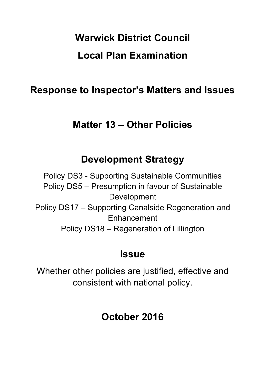# **Warwick District Council Local Plan Examination**

# **Response to Inspector's Matters and Issues**

# **Matter 13 – Other Policies**

# **Development Strategy**

Policy DS3 - Supporting Sustainable Communities Policy DS5 – Presumption in favour of Sustainable Development Policy DS17 – Supporting Canalside Regeneration and Enhancement Policy DS18 – Regeneration of Lillington

# **Issue**

Whether other policies are justified, effective and consistent with national policy.

# **October 2016**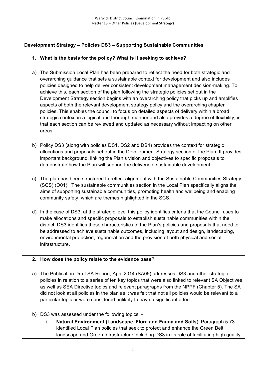### **Development Strategy – Policies DS3 – Supporting Sustainable Communities**

#### **1. What is the basis for the policy? What is it seeking to achieve?**

- a) The Submission Local Plan has been prepared to reflect the need for both strategic and overarching guidance that sets a sustainable context for development and also includes policies designed to help deliver consistent development management decision-making. To achieve this, each section of the plan following the strategic policies set out in the Development Strategy section begins with an overarching policy that picks up and amplifies aspects of both the relevant development strategy policy and the overarching chapter policies. This enables the council to focus on detailed aspects of delivery within a broad strategic context in a logical and thorough manner and also provides a degree of flexibility, in that each section can be reviewed and updated as necessary without impacting on other areas.
- b) Policy DS3 (along with policies DS1, DS2 and DS4) provides the context for strategic allocations and proposals set out in the Development Strategy section of the Plan. It provides important background, linking the Plan's vision and objectives to specific proposals to demonstrate how the Plan will support the delivery of sustainable development.
- c) The plan has been structured to reflect alignment with the Sustainable Communities Strategy (SCS) (O01). The sustainable communities section in the Local Plan specifically aligns the aims of supporting sustainable communities, promoting health and wellbeing and enabling community safety, which are themes highlighted in the SCS.
- d) In the case of DS3, at the strategic level this policy identifies criteria that the Council uses to make allocations and specific proposals to establish sustainable communities within the district. DS3 identifies those characteristics of the Plan's policies and proposals that need to be addressed to achieve sustainable outcomes, including layout and design, landscaping, environmental protection, regeneration and the provision of both physical and social infrastructure.

#### **2. How does the policy relate to the evidence base?**

- a) The Publication Draft SA Report, April 2014 (SA05) addresses DS3 and other strategic policies in relation to a series of ten key topics that were also linked to relevant SA Objectives as well as SEA Directive topics and relevant paragraphs from the NPPF (Chapter 5). The SA did not look at all policies in the plan as it was felt that not all policies would be relevant to a particular topic or were considered unlikely to have a significant effect.
- b) DS3 was assessed under the following topics:
	- i. **Natural Environment (Landscape, Flora and Fauna and Soils**): Paragraph 5.73 identified Local Plan policies that seek to protect and enhance the Green Belt, landscape and Green Infrastructure including DS3 in its role of facilitating high quality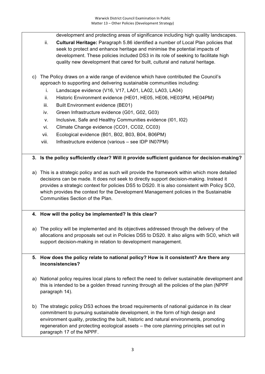development and protecting areas of significance including high quality landscapes.

- ii. **Cultural Heritage:** Paragraph 5.86 identified a number of Local Plan policies that seek to protect and enhance heritage and minimise the potential impacts of development. These policies included DS3 in its role of seeking to facilitate high quality new development that cared for built, cultural and natural heritage.
- c) The Policy draws on a wide range of evidence which have contributed the Council's approach to supporting and delivering sustainable communities including:
	- i. Landscape evidence (V16, V17, LA01, LA02, LA03, LA04)
	- ii. Historic Environment evidence (HE01, HE05, HE06, HE03PM, HE04PM)
	- iii. Built Environment evidence (BE01)
	- iv. Green Infrastructure evidence (G01, G02, G03)
	- v. Inclusive, Safe and Healthy Communities evidence (I01, I02)
	- vi. Climate Change evidence (CC01, CC02, CC03)
	- vii. Ecological evidence (B01, B02, B03, B04, B06PM)
	- viii. Infrastructure evidence (various see IDP IN07PM)

#### **3. Is the policy sufficiently clear? Will it provide sufficient guidance for decision-making?**

- a) This is a strategic policy and as such will provide the framework within which more detailed decisions can be made. It does not seek to directly support decision-making. Instead it provides a strategic context for policies DS5 to DS20. It is also consistent with Policy SC0, which provides the context for the Development Management policies in the Sustainable Communities Section of the Plan.
- **4. How will the policy be implemented? Is this clear?**
- a) The policy will be implemented and its objectives addressed through the delivery of the allocations and proposals set out in Policies DS5 to DS20. It also aligns with SC0, which will support decision-making in relation to development management.

**5. How does the policy relate to national policy? How is it consistent? Are there any inconsistencies?**

- a) National policy requires local plans to reflect the need to deliver sustainable development and this is intended to be a golden thread running through all the policies of the plan (NPPF paragraph 14).
- b) The strategic policy DS3 echoes the broad requirements of national guidance in its clear commitment to pursuing sustainable development, in the form of high design and environment quality, protecting the built, historic and natural environments, promoting regeneration and protecting ecological assets – the core planning principles set out in paragraph 17 of the NPPF.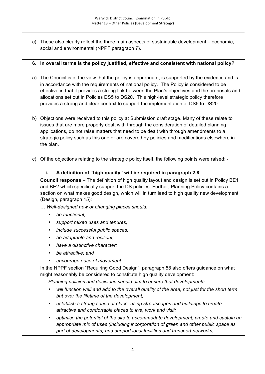c) These also clearly reflect the three main aspects of sustainable development – economic, social and environmental (NPPF paragraph 7).

### **6. In overall terms is the policy justified, effective and consistent with national policy?**

- a) The Council is of the view that the policy is appropriate, is supported by the evidence and is in accordance with the requirements of national policy. The Policy is considered to be effective in that it provides a strong link between the Plan's objectives and the proposals and allocations set out in Policies DS5 to DS20. This high-level strategic policy therefore provides a strong and clear context to support the implementation of DS5 to DS20.
- b) Objections were received to this policy at Submission draft stage. Many of these relate to issues that are more properly dealt with through the consideration of detailed planning applications, do not raise matters that need to be dealt with through amendments to a strategic policy such as this one or are covered by policies and modifications elsewhere in the plan.
- c) Of the objections relating to the strategic policy itself, the following points were raised: -

# **i. A definition of "high quality" will be required in paragraph 2.8**

**Council response** – The definition of high quality layout and design is set out in Policy BE1 and BE2 which specifically support the DS policies. Further, Planning Policy contains a section on what makes good design, which will in turn lead to high quality new development (Design, paragraph 15):

*… Well-designed new or changing places should:*

- *be functional;*
- *support mixed uses and tenures;*
- *include successful public spaces;*
- *be adaptable and resilient;*
- *have a distinctive character;*
- *be attractive; and*
- *encourage ease of movement*

In the NPPF section "Requiring Good Design", paragraph 58 also offers guidance on what might reasonably be considered to constitute high quality development:

*Planning policies and decisions should aim to ensure that developments:*

- *will function well and add to the overall quality of the area, not just for the short term but over the lifetime of the development;*
- *establish a strong sense of place, using streetscapes and buildings to create attractive and comfortable places to live, work and visit;*
- *optimise the potential of the site to accommodate development, create and sustain an appropriate mix of uses (including incorporation of green and other public space as part of developments) and support local facilities and transport networks;*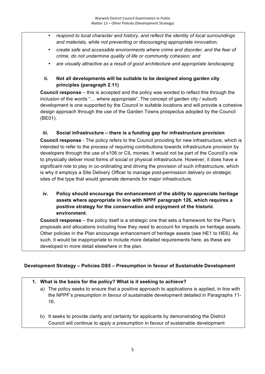- *respond to local character and history, and reflect the identity of local surroundings and materials, while not preventing or discouraging appropriate innovation;*
- *create safe and accessible environments where crime and disorder, and the fear of crime, do not undermine quality of life or community cohesion; and*
- *are visually attractive as a result of good architecture and appropriate landscaping*

# **ii. Not all developments will be suitable to be designed along garden city principles (paragraph 2.11)**

**Council response** – this is accepted and the policy was worded to reflect this through the inclusion of the words "… *where appropriate*". The concept of garden city / suburb development is one supported by the Council in suitable locations and will provide a cohesive design approach through the use of the Garden Towns prospectus adopted by the Council (BE01).

# **iii. Social infrastructure – there is a funding gap for infrastructure provision**

**Council response** - The policy refers to the Council providing for new infrastructure, which is intended to refer to the process of requiring contributions towards infrastructure provision by developers through the use of s106 or CIL monies. It would not be part of the Council's role to physically deliver most forms of social or physical infrastructure. However, it does have a significant role to play in co-ordinating and driving the provision of such infrastructure, which is why it employs a Site Delivery Officer to manage post-permission delivery on strategic sites of the type that would generate demands for major infrastructure.

# **iv. Policy should encourage the enhancement of the ability to appreciate heritage assets where appropriate in line with NPPF paragraph 126, which requires a positive strategy for the conservation and enjoyment of the historic environment.**

**Council response** – the policy itself is a strategic one that sets a framework for the Plan's proposals and allocations including how they need to account for impacts on heritage assets. Other policies in the Plan encourage enhancement of heritage assets (see HE1 to HE6). As such, it would be inappropriate to include more detailed requirements here, as these are developed in more detail elsewhere in the plan.

# **Development Strategy – Policies DS5 – Presumption in favour of Sustainable Development**

# **1. What is the basis for the policy? What is it seeking to achieve?**

- a) The policy seeks to ensure that a positive approach to applications is applied, in line with the NPPF's presumption in favour of sustainable development detailed in Paragraphs 11- 16.
- b) It seeks to provide clarity and certainty for applicants by demonstrating the District Council will continue to apply a presumption in favour of sustainable development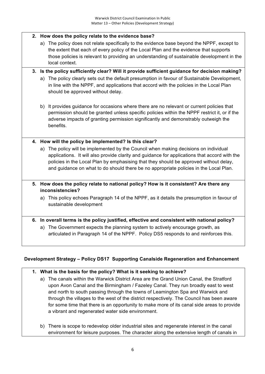#### **2. How does the policy relate to the evidence base?**

- a) The policy does not relate specifically to the evidence base beyond the NPPF, except to the extent that each of every policy of the Local Plan and the evidence that supports those policies is relevant to providing an understanding of sustainable development in the local context.
- **3. Is the policy sufficiently clear? Will it provide sufficient guidance for decision making?**
	- a) The policy clearly sets out the default presumption in favour of Sustainable Development, in line with the NPPF, and applications that accord with the policies in the Local Plan should be approved without delay.
	- b) It provides guidance for occasions where there are no relevant or current policies that permission should be granted unless specific policies within the NPPF restrict it, or if the adverse impacts of granting permission significantly and demonstrably outweigh the benefits.
- **4. How will the policy be implemented? Is this clear?**
	- a) The policy will be implemented by the Council when making decisions on individual applications. It will also provide clarity and guidance for applications that accord with the policies in the Local Plan by emphasising that they should be approved without delay, and guidance on what to do should there be no appropriate policies in the Local Plan.
- **5. How does the policy relate to national policy? How is it consistent? Are there any inconsistencies?**
	- a) This policy echoes Paragraph 14 of the NPPF, as it details the presumption in favour of sustainable development

#### **6. In overall terms is the policy justified, effective and consistent with national policy?**

a) The Government expects the planning system to actively encourage growth, as articulated in Paragraph 14 of the NPPF. Policy DS5 responds to and reinforces this.

#### **Development Strategy – Policy DS17 Supporting Canalside Regeneration and Enhancement**

#### **1. What is the basis for the policy? What is it seeking to achieve?**

- a) The canals within the Warwick District Area are the Grand Union Canal, the Stratford upon Avon Canal and the Birmingham / Fazeley Canal. They run broadly east to west and north to south passing through the towns of Leamington Spa and Warwick and through the villages to the west of the district respectively. The Council has been aware for some time that there is an opportunity to make more of its canal side areas to provide a vibrant and regenerated water side environment.
- b) There is scope to redevelop older industrial sites and regenerate interest in the canal environment for leisure purposes. The character along the extensive length of canals in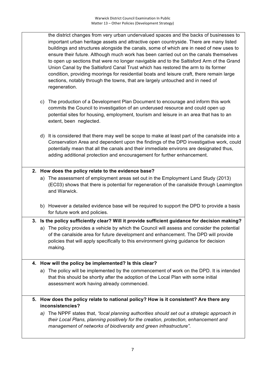the district changes from very urban undervalued spaces and the backs of businesses to important urban heritage assets and attractive open countryside. There are many listed buildings and structures alongside the canals, some of which are in need of new uses to ensure their future. Although much work has been carried out on the canals themselves to open up sections that were no longer navigable and to the Saltisford Arm of the Grand Union Canal by the Saltisford Canal Trust which has restored the arm to its former condition, providing moorings for residential boats and leisure craft, there remain large sections, notably through the towns, that are largely untouched and in need of regeneration.

- c) The production of a Development Plan Document to encourage and inform this work commits the Council to investigation of an underused resource and could open up potential sites for housing, employment, tourism and leisure in an area that has to an extent, been neglected.
- d) It is considered that there may well be scope to make at least part of the canalside into a Conservation Area and dependent upon the findings of the DPD investigative work, could potentially mean that all the canals and their immediate environs are designated thus, adding additional protection and encouragement for further enhancement.

### **2. How does the policy relate to the evidence base?**

- a) The assessment of employment areas set out in the Employment Land Study (2013) (EC03) shows that there is potential for regeneration of the canalside through Leamington and Warwick.
- b) However a detailed evidence base will be required to support the DPD to provide a basis for future work and policies.
- **3. Is the policy sufficiently clear? Will it provide sufficient guidance for decision making?**
	- a) The policy provides a vehicle by which the Council will assess and consider the potential of the canalside area for future development and enhancement. The DPD will provide policies that will apply specifically to this environment giving guidance for decision making.

#### **4. How will the policy be implemented? Is this clear?**

- a) The policy will be implemented by the commencement of work on the DPD. It is intended that this should be shortly after the adoption of the Local Plan with some initial assessment work having already commenced.
- **5. How does the policy relate to national policy? How is it consistent? Are there any inconsistencies?**
	- *a)* The NPPF states that, *"local planning authorities should set out a strategic approach in their Local Plans, planning positively for the creation, protection, enhancement and management of networks of biodiversity and green infrastructure".*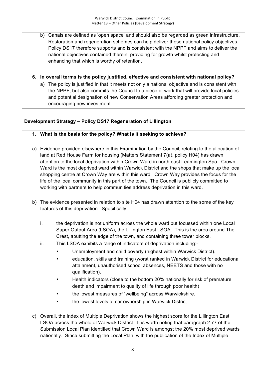- b) Canals are defined as 'open space' and should also be regarded as green infrastructure. Restoration and regeneration schemes can help deliver these national policy objectives. Policy DS17 therefore supports and is consistent with the NPPF and aims to deliver the national objectives contained therein, providing for growth whilst protecting and enhancing that which is worthy of retention.
- **6. In overall terms is the policy justified, effective and consistent with national policy?**
	- a) The policy is justified in that it meets not only a national objective and is consistent with the NPPF, but also commits the Council to a piece of work that will provide local policies and potential designation of new Conservation Areas affording greater protection and encouraging new investment.

# **Development Strategy – Policy DS17 Regeneration of Lillington**

- **1. What is the basis for the policy? What is it seeking to achieve?**
- a) Evidence provided elsewhere in this Examination by the Council, relating to the allocation of land at Red House Farm for housing (Matters Statement 7(a), policy H04) has drawn attention to the local deprivation within Crown Ward in north east Leamington Spa. Crown Ward is the most deprived ward within Warwick District and the shops that make up the local shopping centre at Crown Way are within this ward. Crown Way provides the focus for the life of the local community in this part of the town. The Council is publicly committed to working with partners to help communities address deprivation in this ward.
- b) The evidence presented in relation to site H04 has drawn attention to the some of the key features of this deprivation. Specifically:
	- i. the deprivation is not uniform across the whole ward but focussed within one Local Super Output Area (LSOA), the Lillington East LSOA. This is the area around The Crest, abutting the edge of the town, and containing three tower blocks.
	- ii. This LSOA exhibits a range of indicators of deprivation including:-
		- Unemployment and child poverty (highest within Warwick District).
		- education, skills and training (worst ranked in Warwick District for educational attainment, unauthorised school absences, NEETS and those with no qualification).
		- Health indicators (close to the bottom 20% nationally for risk of premature death and impairment to quality of life through poor health)
		- the lowest measures of "wellbeing" across Warwickshire.
		- the lowest levels of car ownership in Warwick District.
- c) Overall, the Index of Multiple Deprivation shows the highest score for the Lillington East LSOA across the whole of Warwick District. It is worth noting that paragraph 2.77 of the Submission Local Plan identified that Crown Ward is amongst the 20% most deprived wards nationally. Since submitting the Local Plan, with the publication of the Index of Multiple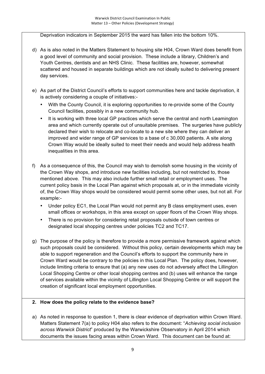Deprivation indicators in September 2015 the ward has fallen into the bottom 10%.

- d) As is also noted in the Matters Statement to housing site H04, Crown Ward does benefit from a good level of community and social provision. These include a library, Children's and Youth Centres, dentists and an NHS Clinic. These facilities are, however, somewhat scattered and housed in separate buildings which are not ideally suited to delivering present day services.
- e) As part of the District Council's efforts to support communities here and tackle deprivation, it is actively considering a couple of initiatives:-
	- With the County Council, it is exploring opportunities to re-provide some of the County Council facilities, possibly in a new community hub.
	- It is working with three local GP practices which serve the central and north Leamington area and which currently operate out of unsuitable premises. The surgeries have publicly declared their wish to relocate and co-locate to a new site where they can deliver an improved and wider range of GP services to a base of c 30,000 patients. A site along Crown Way would be ideally suited to meet their needs and would help address health inequalities in this area.
- f) As a consequence of this, the Council may wish to demolish some housing in the vicinity of the Crown Way shops, and introduce new facilities including, but not restricted to, those mentioned above. This may also include further small retail or employment uses. The current policy basis in the Local Plan against which proposals at, or in the immediate vicinity of, the Crown Way shops would be considered would permit some other uses, but not all. For example:-
	- Under policy EC1, the Local Plan would not permit any B class employment uses, even small offices or workshops, in this area except on upper floors of the Crown Way shops.
	- There is no provision for considering retail proposals outside of town centres or designated local shopping centres under policies TC2 and TC17.
- g) The purpose of the policy is therefore to provide a more permissive framework against which such proposals could be considered. Without this policy, certain developments which may be able to support regeneration and the Council's efforts to support the community here in Crown Ward would be contrary to the policies in this Local Plan. The policy does, however, include limiting criteria to ensure that (a) any new uses do not adversely affect the Lillington Local Shopping Centre or other local shopping centres and (b) uses will enhance the range of services available within the vicinity of Lillington Local Shopping Centre or will support the creation of significant local employment opportunities.

#### **2. How does the policy relate to the evidence base?**

a) As noted in response to question 1, there is clear evidence of deprivation within Crown Ward. Matters Statement 7(a) to policy H04 also refers to the document: "*Achieving social inclusion across Warwick District*" produced by the Warwickshire Observatory in April 2014 which documents the issues facing areas within Crown Ward. This document can be found at: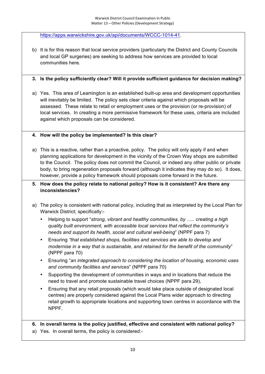https://apps.warwickshire.gov.uk/api/documents/WCCC-1014-41.

b) It is for this reason that local service providers (particularly the District and County Councils and local GP surgeries) are seeking to address how services are provided to local communities here.

### **3. Is the policy sufficiently clear? Will it provide sufficient guidance for decision making?**

a) Yes. This area of Leamington is an established built-up area and development opportunities will inevitably be limited. The policy sets clear criteria against which proposals will be assessed. These relate to retail or employment uses or the provision (or re-provision) of local services. In creating a more permissive framework for these uses, criteria are included against which proposals can be considered.

### **4. How will the policy be implemented? Is this clear?**

a) This is a reactive, rather than a proactive, policy. The policy will only apply if and when planning applications for development in the vicinity of the Crown Way shops are submitted to the Council. The policy does not commit the Council, or indeed any other public or private body, to bring regeneration proposals forward (although it indicates they may do so). It does, however, provide a policy framework should proposals come forward in the future.

# **5. How does the policy relate to national policy? How is it consistent? Are there any inconsistencies?**

- a) The policy is consistent with national policy, including that as interpreted by the Local Plan for Warwick District; specifically:-
	- Helping to support "*strong, vibrant and healthy communities, by ….. creating a high quality built environment, with accessible local services that reflect the community's needs and support its health, social and cultural well-being*" (NPPF para 7)
	- Ensuring *"that established shops, facilities and services are able to develop and modernise in a way that is sustainable, and retained for the benefit of the community*" (NPPF para 70)
	- Ensuring "*an integrated approach to considering the location of housing, economic uses and community facilities and services*" (NPPF para 70)
	- Supporting the development of communities in ways and in locations that reduce the need to travel and promote sustainable travel choices (NPPF para 29),
	- Ensuring that any retail proposals (which would take place outside of designated local centres) are properly considered against the Local Plans wider approach to directing retail growth to appropriate locations and supporting town centres in accordance with the NPPF.

#### **6. In overall terms is the policy justified, effective and consistent with national policy?**

a) Yes. In overall terms, the policy is considered:-